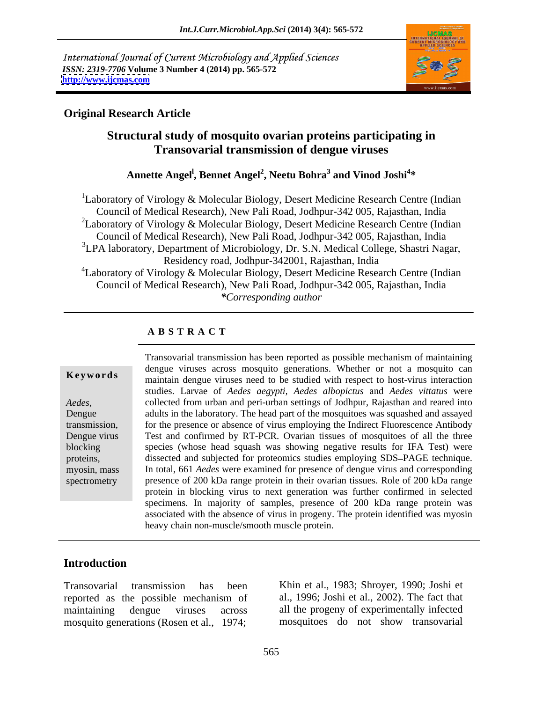International Journal of Current Microbiology and Applied Sciences *ISSN: 2319-7706* **Volume 3 Number 4 (2014) pp. 565-572 <http://www.ijcmas.com>**



# **Original Research Article**

# **Structural study of mosquito ovarian proteins participating in Transovarial transmission of dengue viruses**

**Annette Angel l , Bennet Angel<sup>2</sup> , Neetu Bohra<sup>3</sup> and Vinod Joshi<sup>4</sup> \***

<sup>1</sup>Laboratory of Virology & Molecular Biology, Desert Medicine Research Centre (Indian Council of Medical Research), New Pali Road, Jodhpur-342 005, Rajasthan, India <sup>2</sup>Laboratory of Virology & Molecular Biology, Desert Medicine Research Centre (Indian Council of Medical Research), New Pali Road, Jodhpur-342 005, Rajasthan, India  ${}^{3}$ LPA laboratory, Department of Microbiology, Dr. S.N. Medical College, Shastri Nagar, Residency road, Jodhpur-342001, Rajasthan, India <sup>4</sup>Laboratory of Virology & Molecular Biology, Desert Medicine Research Centre (Indian Council of Medical Research), New Pali Road, Jodhpur-342 005, Rajasthan, India *\*Corresponding author* 

# **A B S T R A C T**

**Keywords** maintain dengue viruses mosquite generations. Whenever of not a mosquite can maintain dengue viruses need to be studied with respect to host-virus interaction *Aedes*, collected from urban and peri-urban settings of Jodhpur, Rajasthan and reared into adults in the laboratory. The head part of the mosquitoes was squashed and assayed transmission, for the presence or absence of virus employing the Indirect Fluorescence Antibody Dengue virus Test and confirmed by RT-PCR. Ovarian tissues of mosquitoes of all the three blocking species (whose head squash was showing negative results for IFA Test) were proteins, dissected and subjected for proteomics studies employing SDS-PAGE technique. myosin, mass In total, 661 *Aedes* were examined for presence of dengue virus and corresponding spectrometry presence of 200 kDa range protein in their ovarian tissues. Role of 200 kDa range Transovarial transmission has been reported as possible mechanism of maintaining dengue viruses across mosquito generations. Whether or not a mosquito can studies. Larvae of *Aedes aegypti, Aedes albopictus* and *Aedes vittatus* were collected from urban and peri-urban settings of Jodhpur, Rajasthan and reared into protein in blocking virus to next generation was further confirmed in selected specimens. In majority of samples, presence of 200 kDa range protein was associated with the absence of virus in progeny. The protein identified was myosin heavy chain non-muscle/smooth muscle protein.

### **Introduction**

reported as the possible mechanism of al., 1996; Joshi et al., 2002). The fact that maintaining dengue viruses across all the progeny of experimentally infected mosquito generations (Rosen et al., 1974;

Transovarial transmission has been Khin et al., 1983; Shroyer, 1990; Joshi et al., 1996; Joshi et al., 2002). The fact that mosquitoes do not show transovarial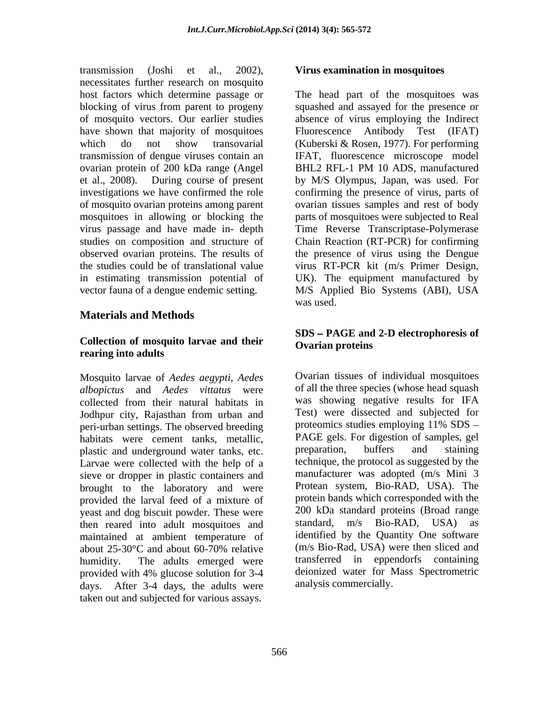transmission (Joshi et al., 2002), **Virus examination in mosquitoes** necessitates further research on mosquito host factors which determine passage or The head part of the mosquitoes was blocking of virus from parent to progeny squashed and assayed for the presence or of mosquito vectors. Our earlier studies absence of virus employing the Indirect have shown that majority of mosquitoes Fluorescence Antibody Test (IFAT) which do not show transovarial (Kuberski & Rosen, 1977). For performing transmission of dengue viruses contain an IFAT, fluorescence microscope model ovarian protein of 200 kDa range (Angel et al., 2008). During course of present by M/S Olympus, Japan, was used. For investigations we have confirmed the role confirming the presence of virus, parts of of mosquito ovarian proteins among parent ovarian tissues samples and rest of body mosquitoes in allowing or blocking the virus passage and have made in- depth Time Reverse Transcriptase-Polymerase studies on composition and structure of Chain Reaction (RT-PCR) for confirming observed ovarian proteins. The results of the presence of virus using the Dengue the studies could be of translational value virus RT-PCR kit (m/s Primer Design, in estimating transmission potential of UK). The equipment manufactured by vector fauna of a dengue endemic setting. M/S Applied Bio Systems (ABI), USA

### **Materials and Methods**

### **Collection of mosquito larvae and their rearing into adults**

Mosquito larvae of *Aedes aegypti, Aedes albopictus* and *Aedes vittatus* were collected from their natural habitats in Jodhpur city, Rajasthan from urban and Test) were dissected and subjected for<br>peri-urban settings. The observed breeding proteomics studies employing 11% SDS – peri-urban settings. The observed breeding habitats were cement tanks, metallic, PAGE gels. For digestion of samples, gel<br>nlastic and underground water tanks etc. preparation, buffers and staining plastic and underground water tanks, etc. Larvae were collected with the help of a sieve or dropper in plastic containers and brought to the laboratory and were provided the larval feed of a mixture of yeast and dog biscuit powder. These were  $\frac{200 \text{ kDa standard proteins (Broad range)}}{\text{standard, m/s}}$  Bio-RAD, USA) as then reared into adult mosquitoes and maintained at ambient temperature of provided with 4% glucose solution for 3-4 days. After 3-4 days, the adults were taken out and subjected for various assays.

### **Virus examination in mosquitoes**

Fluorescence Antibody Test BHL2 RFL-1 PM 10 ADS, manufactured parts of mosquitoes were subjected to Real was used.

### **SDS PAGE and 2-D electrophoresis of Ovarian proteins**

about  $25\text{-}30\text{°C}$  and about 60-70% relative  $(m/s \text{ Bio-Rad, USA})$  were then sliced and humidity. The adults emerged were transferred in eppendorfs containing Ovarian tissues of individual mosquitoes of all the three species (whose head squash was showing negative results for IFA Test) were dissected and subjected for proteomics studies employing 11% SDS PAGE gels. For digestion of samples, gel preparation, buffers and staining technique, the protocol as suggested by the manufacturer was adopted (m/s Mini 3 Protean system, Bio-RAD, USA). The protein bands which corresponded with the 200 kDa standard proteins (Broad range standard, m/s Bio-RAD, USA) as identified by the Quantity One software (m/s Bio-Rad, USA) were then sliced and deionized water for Mass Spectrometric analysis commercially.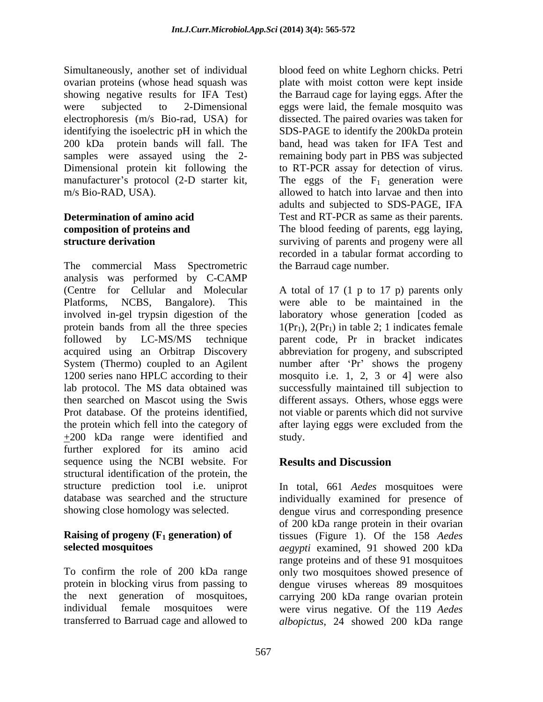Simultaneously, another set of individual blood feed on white Leghorn chicks. Petri ovarian proteins (whose head squash was plate with moist cotton were kept inside showing negative results for IFA Test) were subjected to 2-Dimensional eggs were laid, the female mosquito was electrophoresis (m/s Bio-rad, USA) for dissected. The paired ovaries was taken for identifying the isoelectric pH in which the 200 kDa protein bands will fall. The band, head was taken for IFA Test and samples were assayed using the 2- remaining body part in PBS was subjected Dimensional protein kit following the to RT-PCR assay for detection of virus. manufacturer's protocol (2-D starter kit, The eggs of the  $F_1$  generation were m/s Bio-RAD, USA). allowed to hatch into larvae and then into

The commercial Mass Spectrometric analysis was performed by C-CAMP (Centre for Cellular and Molecular A total of 17 (1 p to 17 p) parents only Platforms, NCBS, Bangalore). This were able to be maintained in the involved in-gel trypsin digestion of the laboratory whose generation [coded as protein bands from all the three species  $1(Pr_1)$ ,  $2(Pr_1)$  in table 2; 1 indicates female followed by LC-MS/MS technique parent code, Pr in bracket indicates acquired using an Orbitrap Discovery abbreviation for progeny, and subscripted System (Thermo) coupled to an Agilent mumber after 'Pr' shows the progeny 1200 series nano HPLC according to their mosquito i.e. 1, 2, 3 or 4] were also lab protocol. The MS data obtained was successfully maintained till subjection to then searched on Mascot using the Swis different assays. Others, whose eggs were Prot database. Of the proteins identified, the protein which fell into the category of after laying eggs were excluded from the +200 kDa range were identified and further explored for its amino acid sequence using the NCBI website. For **Results and Discussion** structural identification of the protein, the structure prediction tool i.e. uniprot In total, 661 *Aedes* mosquitoes were database was searched and the structure individually examined for presence of

**Determination of amino acid**  Test and RT-PCR as same as their parents. **composition of proteins and** The blood feeding of parents, egg laying, **structure derivation** surviving of parents and progeny were all the Barraud cage for laying eggs. After the SDS-PAGE to identify the 200kDa protein adults and subjected to SDS-PAGE, IFA recorded in a tabular format according to the Barraud cage number.

> not viable or parents which did not survive after laying eggs were excluded from the study.

# **Results and Discussion**

showing close homology was selected. dengue virus and corresponding presence **Raising of progeny (F<sub>1</sub> generation) of** tissues (Figure 1). Of the 158 *Aedes* **selected mosquitoes** *aegypti* examined, 91 showed 200 kDa To confirm the role of 200 kDa range only two mosquitoes showed presence of protein in blocking virus from passing to dengue viruses whereas 89 mosquitoes the next generation of mosquitoes, carrying 200 kDa range ovarian protein individual female mosquitoes were were virus negative. Of the 119 *Aedes*  transferred to Barruad cage and allowed to *albopictus*, 24 showed 200 kDa rangeof 200 kDa range protein in their ovarian range proteins and of these 91 mosquitoes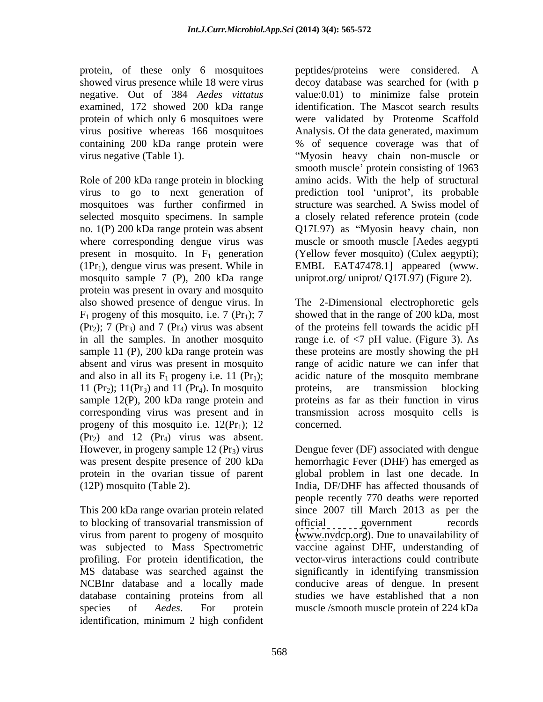negative. Out of 384 *Aedes vittatus*

mosquitoes was further confirmed in selected mosquito specimens. In sample no. 1(P) 200 kDa range protein was absent where corresponding dengue virus was mosquito sample 7 (P), 200 kDa range protein was present in ovary and mosquito (Pr<sub>2</sub>); 7 (Pr<sub>3</sub>) and 7 (Pr<sub>4</sub>) virus was absent 11 ( $Pr_2$ ); 11( $Pr_3$ ) and 11 ( $Pr_4$ ). In mosquito proteins, are transmission blocking sample 12( $P$ ), 200 kDa range protein and proteins as far as their function in virus progeny of this mosquito i.e.  $12(Pr_1)$ ; 12 concerned.  $(\text{Pr}_2)$  and 12  $(\text{Pr}_4)$  virus was absent.

to blocking of transovarial transmission of profiling. For protein identification, the species of *Aedes*. For protein muscle /smooth muscle protein of 224 kDa identification, minimum 2 high confident

protein, of these only 6 mosquitoes peptides/proteins were considered. A showed virus presence while 18 were virus decoy database was searched for (with p examined, 172 showed 200 kDa range identification. The Mascot search results protein of which only 6 mosquitoes were were validated by Proteome Scaffold virus positive whereas 166 mosquitoes Analysis. Of the data generated, maximum containing 200 kDa range protein were % of sequence coverage was that of virus negative (Table 1). Myosin heavy chain non-muscle or Role of 200 kDa range protein in blocking amino acids. With the help of structural virus to go to next generation of prediction tool 'uniprot', its probable present in mosquito. In  $F_1$  generation (Yellow fever mosquito) (Culex aegypti);  $(1Pr_1)$ , dengue virus was present. While in EMBL EAT47478.1] appeared (www. value:0.01) to minimize false protein smooth muscle' protein consisting of 1963 structure was searched. A Swiss model of a closely related reference protein (code Q17L97) as "Myosin heavy chain, non muscle or smooth muscle [Aedes aegypti uniprot.org/ uniprot/ Q17L97) (Figure 2).

also showed presence of dengue virus. In The 2-Dimensional electrophoretic gels  $F_1$  progeny of this mosquito, i.e. 7 (Pr<sub>1</sub>); 7 showed that in the range of 200 kDa, most in all the samples. In another mosquito range i.e. of <7 pH value. (Figure 3). As sample 11 (P), 200 kDa range protein was these proteins are mostly showing the pH absent and virus was present in mosquito range of acidic nature we can infer that and also in all its  $F_1$  progeny i.e. 11 (Pr<sub>1</sub>); acidic nature of the mosquito membrane sample 12(P), 200 kDa range protein and proteins as far as their function in virus corresponding virus was present and in transmission across mosquito cells is of the proteins fell towards the acidic pH proteins, are transmission blocking concerned.

However, in progeny sample 12 (Pr<sub>3</sub>) virus Dengue fever (DF) associated with dengue was present despite presence of 200 kDa hemorrhagic Fever (DHF) has emerged as protein in the ovarian tissue of parent global problem in last one decade. In (12P) mosquito (Table 2). India, DF/DHF has affected thousands of people recently 770 deaths were reported<br>This 200 kDa range ovarian protein related since 2007 till March 2013 as per the virus from parent to progeny of mosquito [\(www.nvdcp.org](http://www.nvdcp.org)). Due to unavailability of was subjected to Mass Spectrometric vaccine against DHF, understanding of MS database was searched against the significantly in identifying transmission NCBInr database and a locally made conducive areas of dengue. In present database containing proteins from all people recently 770 deaths were reported official government records vector-virus interactions could contribute studies we have established that a non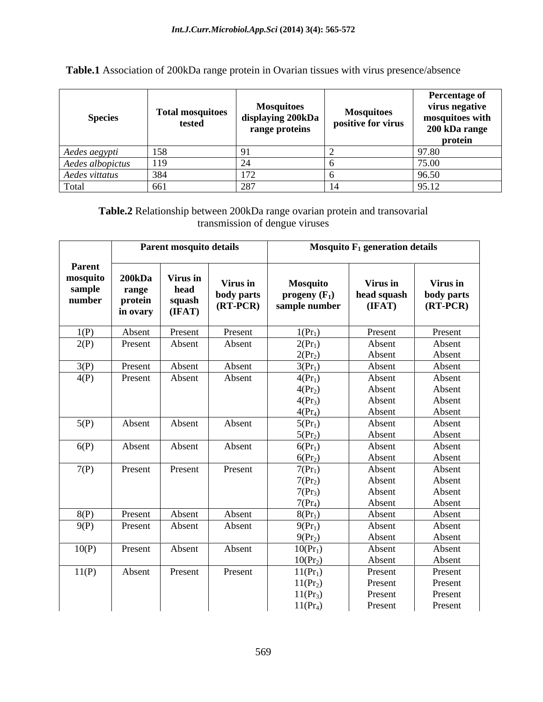| <b>Species</b>                    | <b>Total mosquitoes</b><br>tested | <b>Mosquitoes</b><br>displaying 200kDa<br>range proteins | <b>Mosquitoes</b><br>positive for virus | <b>Percentage of</b><br>virus negative<br>mosquitoes with<br>200 kDa range<br>protein |
|-----------------------------------|-----------------------------------|----------------------------------------------------------|-----------------------------------------|---------------------------------------------------------------------------------------|
|                                   | 158                               |                                                          |                                         | 71.00                                                                                 |
| Aedes aegypti<br>Aedes albopictus | 119                               |                                                          |                                         | 75.00                                                                                 |
| Aedes vittatus                    | 384                               | $\overline{1}$                                           |                                         | 96.50                                                                                 |
| Tota.                             |                                   | 007<br>∠∪                                                |                                         | 95.12                                                                                 |

**Table.1** Association of 200kDa range protein in Ovarian tissues with virus presence/absence

# **Table.2** Relationship between 200kDa range ovarian protein and transovarial transmission of dengue viruses

|                                        | Parent mosquito details                       |                                      | Mosquito $F_1$ generation details           |                                                     |                                   |                                      |
|----------------------------------------|-----------------------------------------------|--------------------------------------|---------------------------------------------|-----------------------------------------------------|-----------------------------------|--------------------------------------|
| Parent<br>mosquito<br>sample<br>number | <b>200kDa</b><br>range<br>protein<br>in ovary | Virus in<br>head<br>squash<br>(IFAT) | <b>Virus in</b><br>body parts<br>$(RT-PCR)$ | <b>Mosquito</b><br>progeny $(F_1)$<br>sample number | Virus in<br>head squash<br>(IFAT) | Virus in<br>body parts<br>$(RT-PCR)$ |
| 1(P)                                   | Absent                                        | Present                              | Present                                     | $1(\text{Pr}_1)$                                    | Present                           | Present                              |
| 2(P)                                   | Present                                       | Absent                               | Absent                                      | $2(Pr_1)$                                           | Absent                            | Absent                               |
|                                        |                                               |                                      |                                             | $2(\text{Pr}_2)$                                    | Absent                            | Absent                               |
| 3(P)                                   | Present                                       | Absent                               | Absent                                      | $3(Pr_1)$                                           | Absent                            | Absent                               |
| 4(P)                                   | Present                                       | Absent                               | Absent                                      | $4(Pr_1)$                                           | Absent                            | Absent                               |
|                                        |                                               |                                      |                                             | $4(Pr_2)$                                           | Absent                            | Absent                               |
|                                        |                                               |                                      |                                             | $4(Pr_3)$                                           | Absent                            | Absent                               |
|                                        |                                               |                                      |                                             | $4(Pr_4)$                                           | Absent                            | Absent                               |
| 5(P)                                   | Absent                                        | Absent                               | Absent                                      | $5(Pr_1)$                                           | Absent                            | Absent                               |
|                                        |                                               |                                      |                                             | $5(\text{Pr}_2)$                                    | Absent                            | Absent                               |
| 6(P)                                   | Absent                                        | Absent                               | Absent                                      | $6(Pr_1)$                                           | Absent                            | Absent                               |
|                                        |                                               |                                      |                                             | $6({\rm Pr}_2)$                                     | Absent                            | Absent                               |
| 7(P)                                   | Present                                       | Present                              | Present                                     | $7(Pr_1)$                                           | Absent                            | Absent                               |
|                                        |                                               |                                      |                                             | $7(\text{Pr}_2)$                                    | Absent                            | Absent                               |
|                                        |                                               |                                      |                                             | $7(Pr_3)$                                           | Absent                            | Absent                               |
|                                        |                                               |                                      |                                             | $7(Pr_4)$                                           | Absent                            | Absent                               |
| 8(P)                                   | Present                                       | Absent                               | Absent                                      | $8(Pr_1)$                                           | Absent                            | Absent                               |
| 9(P)                                   | Present                                       | Absent                               | Absent                                      | $9(Pr_1)$                                           | Absent                            | Absent                               |
|                                        |                                               |                                      |                                             | $9(Pr_2)$                                           | Absent                            | Absent                               |
| 10(P)                                  | Present                                       | Absent                               | Absent                                      | $10(Pr_1)$                                          | Absent                            | Absent                               |
|                                        |                                               |                                      |                                             | $10(Pr_2)$                                          | Absent                            | Absent                               |
| 11(P)                                  | Absent                                        | Present                              | Present                                     | $11(Pr_1)$                                          | Present                           | Present                              |
|                                        |                                               |                                      |                                             | $11(Pr_2)$                                          | Present                           | Present                              |
|                                        |                                               |                                      |                                             | $11(Pr_3)$                                          | Present                           | Present                              |
|                                        |                                               |                                      |                                             | $11(Pr_4)$                                          | Present                           | Present                              |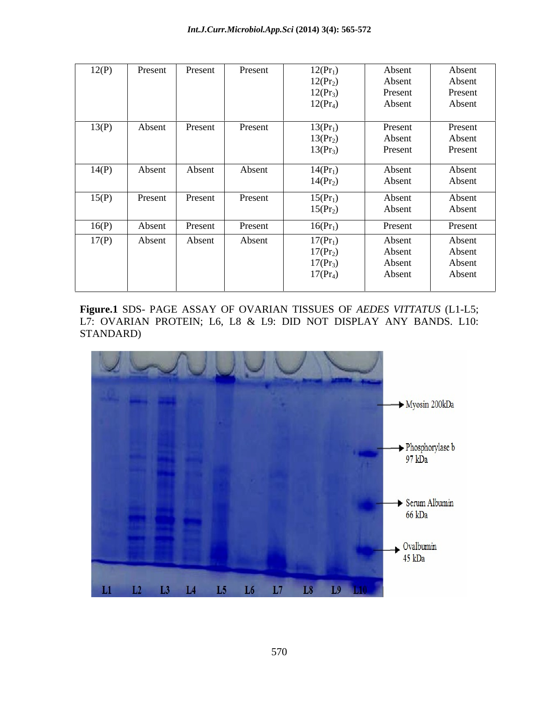| 12(P) | Present | Present | Present | $12(Pr_1)$ | Absent  | Absent  |
|-------|---------|---------|---------|------------|---------|---------|
|       |         |         |         | $12(Pr_2)$ | Absent  | Absent  |
|       |         |         |         | $12(Pr_3)$ | Present | Present |
|       |         |         |         | $12(Pr_4)$ | Absent  | Absent  |
|       |         |         |         |            |         |         |
| 13(P) | Absent  | Present | Present | $13(Pr_1)$ | Present | Present |
|       |         |         |         | $13(Pr_2)$ | Absent  | Absent  |
|       |         |         |         | $13(Pr_3)$ | Present | Present |
|       |         |         |         |            |         |         |
| 14(P) | Absent  | Absent  | Absent  | $14(Pr_1)$ | Absent  | Absent  |
|       |         |         |         | $14(Pr_2)$ | Absent  | Absent  |
|       |         |         |         |            |         |         |
| 15(P) | Present | Present | Present | $15(Pr_1)$ | Absent  | Absent  |
|       |         |         |         | $15(Pr_2)$ | Absent  | Absent  |
|       |         | Present | Present |            |         |         |
| 16(P) | Absent  |         |         | $16(Pr_1)$ | Present | Present |
| 17(P) | Absent  | Absent  | Absent  | $17(Pr_1)$ | Absent  | Absent  |
|       |         |         |         | $17(Pr_2)$ | Absent  | Absent  |
|       |         |         |         | $17(Pr_3)$ | Absent  | Absent  |
|       |         |         |         | $17(Pr_4)$ | Absent  | Absent  |
|       |         |         |         |            |         |         |
|       |         |         |         |            |         |         |

**Figure.1** SDS- PAGE ASSAY OF OVARIAN TISSUES OF *AEDES VITTATUS* (L1-L5; L7: OVARIAN PROTEIN; L6, L8 & L9: DID NOT DISPLAY ANY BANDS. L10: STANDARD)

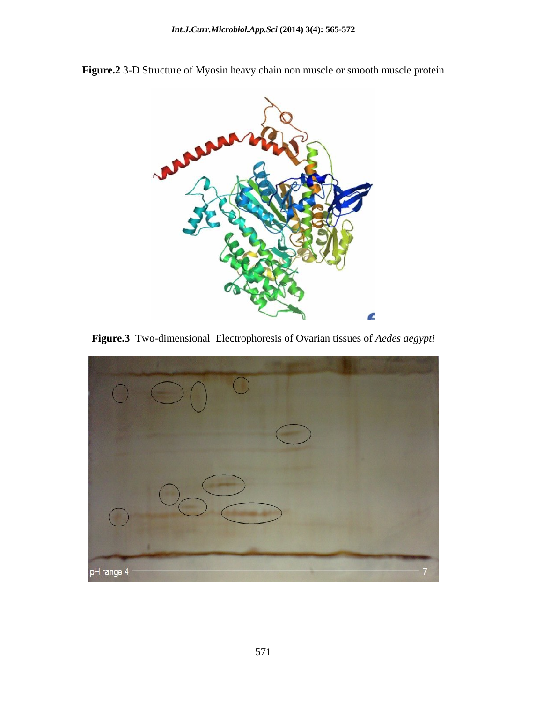

**Figure.2** 3-D Structure of Myosin heavy chain non muscle or smooth muscle protein

**Figure.3** Two-dimensional Electrophoresis of Ovarian tissues of *Aedes aegypti*